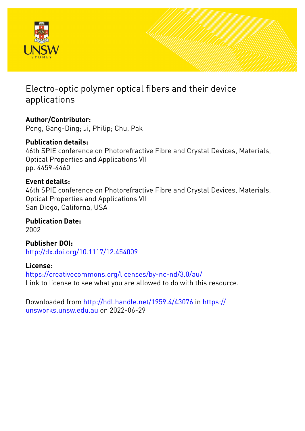

## Electro-optic polymer optical fibers and their device applications

## **Author/Contributor:**

Peng, Gang-Ding; Ji, Philip; Chu, Pak

## **Publication details:**

46th SPIE conference on Photorefractive Fibre and Crystal Devices, Materials, Optical Properties and Applications VII pp. 4459-4460

### **Event details:**

46th SPIE conference on Photorefractive Fibre and Crystal Devices, Materials, Optical Properties and Applications VII San Diego, Californa, USA

# **Publication Date:**

2002

**Publisher DOI:** [http://dx.doi.org/10.1117/12.454009](http://dx.doi.org/http://dx.doi.org/10.1117/12.454009)

### **License:**

<https://creativecommons.org/licenses/by-nc-nd/3.0/au/> Link to license to see what you are allowed to do with this resource.

Downloaded from <http://hdl.handle.net/1959.4/43076> in [https://](https://unsworks.unsw.edu.au) [unsworks.unsw.edu.au](https://unsworks.unsw.edu.au) on 2022-06-29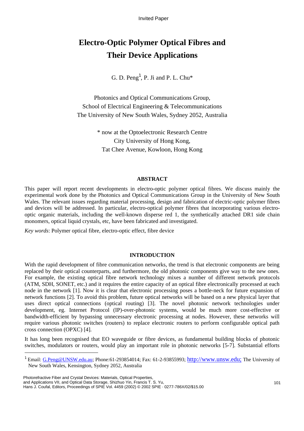Invited Paper

## **Electro-Optic Polymer Optical Fibres and Their Device Applications**

G. D.  $Peng<sup>1</sup>$ , P. Ji and P. L. Chu $*$ 

Photonics and Optical Communications Group, School of Electrical Engineering & Telecommunications The University of New South Wales, Sydney 2052, Australia

> \* now at the Optoelectronic Research Centre City University of Hong Kong, Tat Chee Avenue, Kowloon, Hong Kong

#### **ABSTRACT**

This paper will report recent developments in electro-optic polymer optical fibres. We discuss mainly the experimental work done by the Photonics and Optical Communications Group in the University of New South Wales. The relevant issues regarding material processing, design and fabrication of electric-optic polymer fibres and devices will be addressed. In particular, electro-optical polymer fibres that incorporating various electrooptic organic materials, including the well-known disperse red 1, the synthetically attached DR1 side chain monomers, optical liquid crystals, etc, have been fabricated and investigated.

*Key words*: Polymer optical fibre, electro-optic effect, fibre device

#### **INTRODUCTION**

With the rapid development of fibre communication networks, the trend is that electronic components are being replaced by their optical counterparts, and furthermore, the old photonic components give way to the new ones. For example, the existing optical fibre network technology mixes a number of different network protocols (ATM, SDH, SONET, etc.) and it requires the entire capacity of an optical fibre electronically processed at each node in the network [1]. Now it is clear that electronic processing poses a bottle-neck for future expansion of network functions [2]. To avoid this problem, future optical networks will be based on a new physical layer that uses direct optical connections (optical routing) [3]. The novel photonic network technologies under development, eg. Internet Protocol (IP)-over-photonic systems, would be much more cost-effective or bandwidth-efficient by bypassing unnecessary electronic processing at nodes. However, these networks will require various photonic switches (routers) to replace electronic routers to perform configurable optical path cross connection (OPXC) [4].

It has long been recognised that EO waveguide or fibre devices, as fundamental building blocks of photonic switches, modulators or routers, would play an important role in photonic networks [5-7]. Substantial efforts

Photorefractive Fiber and Crystal Devices: Materials, Optical Properties,

 $\overline{a}$ 

Hans J. Coufal, Editors, Proceedings of SPIE Vol. 4459 (2002) © 2002 SPIE · 0277-786X/02/\$15.00

<sup>&</sup>lt;sup>1</sup> Email: C.Peng@UNSW.edu.au; Phone:61-293854014; Fax: 61-2-93855993; http://www.unsw.edu; The University of New South Wales, Kensington, Sydney 2052, Australia

and Applications VII, and Optical Data Storage, Shizhuo Yin, Francis T. S. Yu,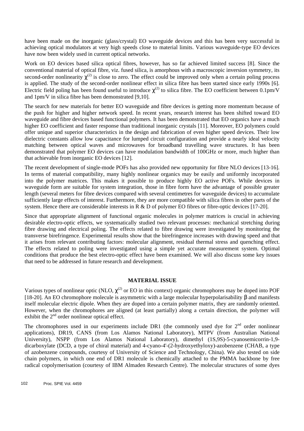have been made on the inorganic (glass/crystal) EO waveguide devices and this has been very successful in achieving optical modulators at very high speeds close to material limits. Various waveguide-type EO devices have now been widely used in current optical networks.

Work on EO devices based silica optical fibres, however, has so far achieved limited success [8]. Since the conventional material of optical fibre, viz. fused silica, is amorphous with a macroscopic inversion symmetry, its second-order nonlinearity  $\chi^{(2)}$  is close to zero. The effect could be improved only when a certain poling process is applied. The study of the second-order nonlinear effect in silica fibre has been started since early 1990s [6]. Electric field poling has been found useful to introduce  $\chi^{(2)}$  to silica fibre. The EO coefficient between 0.1pm/V and 1pm/V in silica fibre has been demonstrated [9,10].

The search for new materials for better EO waveguide and fibre devices is getting more momentum because of the push for higher and higher network speed. In recent years, research interest has been shifted toward EO waveguide and fibre devices based functional polymers. It has been demonstrated that EO organics have a much higher EO coefficient and faster response than traditional inorganic crystals [11]. Moreover, EO polymers could offer unique and superior characteristics in the design and fabrication of even higher speed devices. Their low dielectric constants allow low capacitance for lumped circuit configuration and provide a nearly ideal velocity matching between optical waves and microwaves for broadband travelling wave structures. It has been demonstrated that polymer EO devices can have modulation bandwidth of 100GHz or more, much higher than that achievable from inorganic EO devices [12].

The recent development of single-mode POFs has also provided new opportunity for fibre NLO devices [13-16]. In terms of material compatibility, many highly nonlinear organics may be easily and uniformly incorporated into the polymer matrices. This makes it possible to produce highly EO active POFs. While devices in waveguide form are suitable for system integration, those in fibre form have the advantage of possible greater length (several meters for fibre devices compared with several centimetres for waveguide devices) to accumulate sufficiently large effects of interest. Furthermore, they are more compatible with silica fibres in other parts of the system. Hence there are considerable interests in R  $\&$  D of polymer EO fibres or fibre-optic devices [17-20].

Since that appropriate alignment of functional organic molecules in polymer matrices is crucial in achieving desirable electro-optic effects, we systematically studied two relevant processes: mechanical stretching during fibre drawing and electrical poling. The effects related to fibre drawing were investigated by monitoring the transverse birefringence. Experimental results show that the birefringence increases with drawing speed and that it arises from relevant contributing factors: molecular alignment, residual thermal stress and quenching effect. The effects related to poling were investigated using a simple yet accurate measurement system. Optimal conditions that produce the best electro-optic effect have been examined. We will also discuss some key issues that need to be addressed in future research and development.

#### **MATERIAL ISSUE**

Various types of nonlinear optic (NLO,  $\chi^{(2)}$  or EO in this context) organic chromophores may be doped into POF [18-20]. An EO chromophore molecule is asymmetric with a large molecular hyperpolarisability β and manifests itself molecular electric dipole. When they are doped into a certain polymer matrix, they are randomly oriented. However, when the chromophores are aligned (at least partially) along a certain direction, the polymer will exhibit the  $2<sup>nd</sup>$  order nonlinear optical effect.

The chromophores used in our experiments include DR1 (the commonly used dye for  $2<sup>nd</sup>$  order nonlinear applications), DR19, CANS (from Los Alamos National Laboratory), MTPV (from Australian National University), NSPP (from Los Alamos National Laboratory), dimethyl (1S,9S)-5-cyanosemicorrin-1,9 dicarboxylate (DCD, a type of chiral material) and 4-cyano-4'-(2-hydroxyethyloxy)-azobenzene (CHAB, a type of azobenzene compounds, courtesy of University of Science and Technology, China). We also tested on side chain polymers, in which one end of DR1 molecule is chemically attached to the PMMA backbone by free radical copolymerisation (courtesy of IBM Almaden Research Centre). The molecular structures of some dyes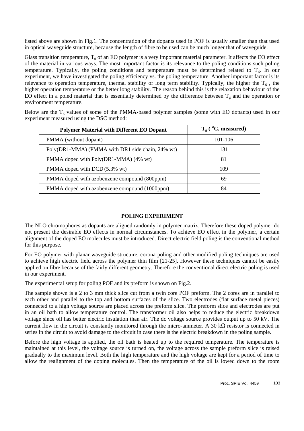listed above are shown in Fig.1. The concentration of the dopants used in POF is usually smaller than that used in optical waveguide structure, because the length of fibre to be used can be much longer that of waveguide.

Glass transition temperature,  $T_g$  of an EO polymer is a very important material parameter. It affects the EO effect of the material in various ways. The most important factor is its relevance to the poling conditions such poling temperature. Typically, the poling conditions and temperature must be determined related to Tg. In our experiment, we have investigated the poling efficiency vs. the poling temperature. Another important factor is its relevance to operation temperature, thermal stability or long term stability. Typically, the higher the  $T_g$ , the higher operation temperature or the better long stability. The reason behind this is the relaxation behaviour of the EO effect in a poled material that is essentially determined by the difference between  $T<sub>g</sub>$  and the operation or environment temperature.

Below are the  $T_g$  values of some of the PMMA-based polymer samples (some with EO dopants) used in our experiment measured using the DSC method:

| <b>Polymer Material with Different EO Dopant</b> | $T_g$ ( $\rm ^oC$ , measured) |
|--------------------------------------------------|-------------------------------|
| PMMA (without dopant)                            | 101-106                       |
| Poly(DR1-MMA) (PMMA with DR1 side chain, 24% wt) | 131                           |
| PMMA doped with Poly(DR1-MMA) (4% wt)            | 81                            |
| PMMA doped with DCD (5.3% wt)                    | 109                           |
| PMMA doped with azobenzene compound (800ppm)     | 69                            |
| PMMA doped with azobenzene compound (1000ppm)    | 84                            |

#### **POLING EXPERIMENT**

The NLO chromophores as dopants are aligned randomly in polymer matrix. Therefore these doped polymer do not present the desirable EO effects in normal circumstances. To achieve EO effect in the polymer, a certain alignment of the doped EO molecules must be introduced. Direct electric field poling is the conventional method for this purpose.

For EO polymer with planar waveguide structure, corona poling and other modified poling techniques are used to achieve high electric field across the polymer thin film [21-25]. However these techniques cannot be easily applied on fibre because of the fairly different geometry. Therefore the conventional direct electric poling is used in our experiment.

The experimental setup for poling POF and its preform is shown on Fig.2.

The sample shown is a 2 to 3 mm thick slice cut from a twin core POF preform. The 2 cores are in parallel to each other and parallel to the top and bottom surfaces of the slice. Two electrodes (flat surface metal pieces) connected to a high voltage source are placed across the preform slice. The preform slice and electrodes are put in an oil bath to allow temperature control. The transformer oil also helps to reduce the electric breakdown voltage since oil has better electric insulation than air. The dc voltage source provides output up to 50 kV. The current flow in the circuit is constantly monitored through the micro-ammeter. A 30 k $\Omega$  resistor is connected in series in the circuit to avoid damage to the circuit in case there is the electric breakdown in the poling sample.

Before the high voltage is applied, the oil bath is heated up to the required temperature. The temperature is maintained at this level, the voltage source is turned on, the voltage across the sample preform slice is raised gradually to the maximum level. Both the high temperature and the high voltage are kept for a period of time to allow the realignment of the doping molecules. Then the temperature of the oil is lowed down to the room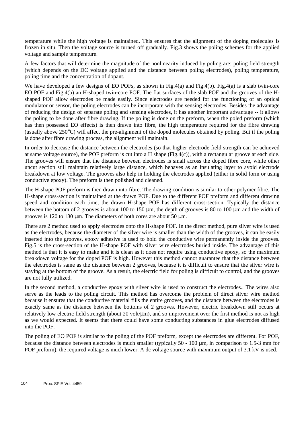temperature while the high voltage is maintained. This ensures that the alignment of the doping molecules is frozen in situ. Then the voltage source is turned off gradually. Fig.3 shows the poling schemes for the applied voltage and sample temperature.

A few factors that will determine the magnitude of the nonlinearity induced by poling are: poling field strength (which depends on the DC voltage applied and the distance between poling electrodes), poling temperature, poling time and the concentration of dopant.

We have developed a few designs of EO POFs, as shown in Fig.4(a) and Fig.4(b). Fig.4(a) is a slab twin-core EO POF and Fig.4(b) an H-shaped twin-core POF. The flat surfaces of the slab POF and the grooves of the Hshaped POF allow electrodes be made easily. Since electrodes are needed for the functioning of an optical modulator or sensor, the poling electrodes can be incorporate with the sensing electrodes. Besides the advantage of reducing the design of separate poling and sensing electrodes, it has another important advantage -- it allows the poling to be done after fibre drawing. If the poling is done on the preform, when the poled preform (which has then possessed EO effects) is then drawn into fibre, the high temperature required for the fibre drawing (usually above 250°C) will affect the pre-alignment of the doped molecules obtained by poling. But if the poling is done after fibre drawing process, the alignment will maintain.

In order to decrease the distance between the electrodes (so that higher electrode field strength can be achieved at same voltage source), the POF preform is cut into a H shape  $(Fig.4(c))$ , with a rectangular groove at each side. The grooves will ensure that the distance between electrodes is small across the doped fibre core, while other uncut section still maintain relatively large distance, which behaves as an insulating layer to avoid electrode breakdown at low voltage. The grooves also help in holding the electrodes applied (either in solid form or using conductive epoxy). The preform is then polished and cleaned.

The H-shape POF preform is then drawn into fibre. The drawing condition is similar to other polymer fibre. The H-shape cross-section is maintained at the drawn POF. Due to the different POF preform and different drawing speed and condition each time, the drawn H-shape POF has different cross-section. Typically the distance between the bottom of 2 grooves is about 100 to 150 µm, the depth of grooves is 80 to 100 µm and the width of grooves is 120 to 180  $\mu$ m. The diameters of both cores are about 50  $\mu$ m.

There are 2 method used to apply electrodes onto the H-shape POF. In the direct method, pure silver wire is used as the electrodes, because the diameter of the silver wire is smaller than the width of the grooves, it can be easily inserted into the grooves, epoxy adhesive is used to hold the conductive wire permanently inside the grooves. Fig.5 is the cross-section of the H-shape POF with silver wire electrodes buried inside. The advantage of this method is that it is easy to make and it is clean as it does not require using conductive epoxy, so the maximum breakdown voltage for the doped POF is high. However this method cannot guarantee that the distance between the electrodes is same as the distance between 2 grooves, because it is difficult to ensure that the silver wire is staying at the bottom of the groove. As a result, the electric field for poling is difficult to control, and the grooves are not fully utilized.

In the second method, a conductive epoxy with silver wire is used to construct the electrodes.. The wires also serve as the leads to the poling circuit. This method has overcome the problem of direct silver wire method because it ensures that the conductive material fills the entire grooves, and the distance between the electrodes is exactly same as the distance between the bottoms of 2 grooves. However, electric breakdown still occurs at relatively low electric field strength (about 20 volt/ $\mu$ m), and so improvement over the first method is not as high as we would expected. It seems that there could have some conducting substances in glue electrodes diffused into the POF.

The poling of EO POF is similar to the poling of the POF preform, except the electrodes are different. For POF, because the distance between electrodes is much smaller (typically 50 - 100 µm, in comparison to 1.5-3 mm for POF preform), the required voltage is much lower. A dc voltage source with maximum output of 3.1 kV is used.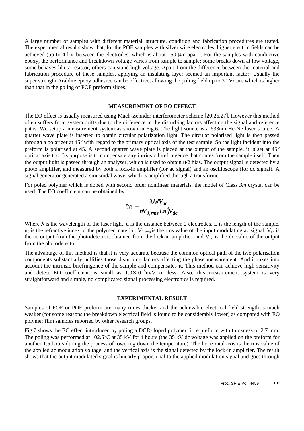A large number of samples with different material, structure, condition and fabrication procedures are tested. The experimental results show that, for the POF samples with silver wire electrodes, higher electric fields can be achieved (up to 4 kV between the electrodes, which is about 150 µm apart). For the samples with conductive epoxy, the performance and breakdown voltage varies from sample to sample: some breaks down at low voltage, some behaves like a resistor, others can stand high voltage. Apart from the difference between the material and fabrication procedure of these samples, applying an insulating layer seemed an important factor. Usually the super strength Araldite epoxy adhesive can be effective, allowing the poling field up to 30 V/µm, which is higher than that in the poling of POF preform slices.

#### **MEASUREMENT OF EO EFFECT**

The EO effect is usually measured using Mach-Zehnder interferometer scheme [20,26,27]. However this method often suffers from system drifts due to the difference in the disturbing factors affecting the signal and reference paths. We setup a measurement system as shown in Fig.6. The light source is a 633nm He-Ne laser source. A quarter wave plate is inserted to obtain circular polarization light. The circular polarised light is then passed through a polarizer at 45° with regard to the primary optical axis of the test sample. So the light incident into the preform is polarised at 45. A second quarter wave plate is placed at the output of the sample, it is set at 45° optical axis too. Its purpose is to compensate any intrinsic birefringence that comes from the sample itself. Then the output light is passed through an analyser, which is used to obtain  $\pi/2$  bias. The output signal is detected by a photo amplifier, and measured by both a lock-in amplifier (for ac signal) and an oscilloscope (for dc signal). A signal generator generated a sinusoidal wave, which is amplified through a transformer.

For poled polymer which is doped with second order nonlinear materials, the model of Class 3m crystal can be used. The EO coefficient can be obtained by:

$$
r_{33} = \frac{3\lambda dV_{ac}}{\pi V_{0,rms} L n_0^3 V_{dc}}
$$

Where  $\lambda$  is the wavelength of the laser light. d is the distance between 2 electrodes. L is the length of the sample.  $n_0$  is the refractive index of the polymer material.  $V_{0, rms}$  is the rms value of the input modulating ac signal.  $V_{ac}$  is the ac output from the photodetector, obtained from the lock-in amplifier, and  $V_{dc}$  is the dc value of the output from the photodetector.

The advantage of this method is that it is very accurate because the common optical path of the two polarisation components substantially nullifies those disturbing factors affecting the phase measurement. And it takes into account the intrinsic birefringence of the sample and compensates it. This method can achieve high sensitivity and detect EO coefficient as small as  $1.0\times10^{-15}$  m/V or less. Also, this measurement system is very straightforward and simple, no complicated signal processing electronics is required.

#### **EXPERIMENTAL RESULT**

Samples of POF or POF preform are many times thicker and the achievable electrical field strength is much weaker (for some reasons the breakdown electrical field is found to be considerably lower) as compared with EO polymer film samples reported by other research groups.

Fig.7 shows the EO effect introduced by poling a DCD-doped polymer fibre preform with thickness of 2.7 mm. The poling was performed at 102.5°C at 35 kV for 4 hours (the 35 kV dc voltage was applied on the preform for another 1.5 hours during the process of lowering down the temperature). The horizontal axis is the rms value of the applied ac modulation voltage, and the vertical axis is the signal detected by the lock-in amplifier. The result shows that the output modulated signal is linearly proportional to the applied modulation signal and goes through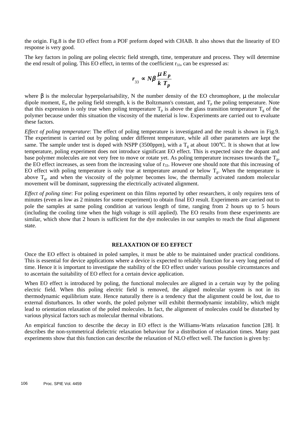the origin. Fig.8 is the EO effect from a POF preform doped with CHAB. It also shows that the linearity of EO response is very good.

The key factors in poling are poling electric field strength, time, temperature and process. They will determine the end result of poling. This EO effect, in terms of the coefficient  $r_{33}$ , can be expressed as:

$$
r_{33} \propto N\beta \frac{\mu E_p}{k T_p}
$$

where  $\beta$  is the molecular hyperpolarisability, N the number density of the EO chromophore,  $\mu$  the molecular dipole moment,  $E_p$  the poling field strength, k is the Boltzmann's constant, and  $T_p$  the poling temperature. Note that this expression is only true when poling temperature  $T_p$  is above the glass transition temperature  $T_g$  of the polymer because under this situation the viscosity of the material is low. Experiments are carried out to evaluate these factors.

*Effect of poling temperature*: The effect of poling temperature is investigated and the result is shown in Fig.9. The experiment is carried out by poling under different temperature, while all other parameters are kept the same. The sample under test is doped with NSPP (3500ppm), with a  $T_g$  at about 100°C. It is shown that at low temperature, poling experiment does not introduce significant EO effect. This is expected since the dopant and base polymer molecules are not very free to move or rotate yet. As poling temperature increases towards the  $T_g$ , the EO effect increases, as seen from the increasing value of  $r_{33}$ . However one should note that this increasing of EO effect with poling temperature is only true at temperature around or below  $T_g$ . When the temperature is above  $T_g$ , and when the viscosity of the polymer becomes low, the thermally activated random molecular movement will be dominant, suppressing the electrically activated alignment.

*Effect of poling time*: For poling experiment on thin films reported by other researchers, it only requires tens of minutes (even as low as 2 minutes for some experiment) to obtain final EO result. Experiments are carried out to pole the samples at same poling condition at various length of time, ranging from 2 hours up to 5 hours (including the cooling time when the high voltage is still applied). The EO results from these experiments are similar, which show that 2 hours is sufficient for the dye molecules in our samples to reach the final alignment state.

#### **RELAXATION OF EO EFFECT**

Once the EO effect is obtained in poled samples, it must be able to be maintained under practical conditions. This is essential for device applications where a device is expected to reliably function for a very long period of time. Hence it is important to investigate the stability of the EO effect under various possible circumstances and to ascertain the suitability of EO effect for a certain device application.

When EO effect is introduced by poling, the functional molecules are aligned in a certain way by the poling electric field. When this poling electric field is removed, the aligned molecular system is not in its thermodynamic equilibrium state. Hence naturally there is a tendency that the alignment could be lost, due to external disturbances. In other words, the poled polymer will exhibit thermodynamic instability, which might lead to orientation relaxation of the poled molecules. In fact, the alignment of molecules could be disturbed by various physical factors such as molecular thermal vibrations.

An empirical function to describe the decay in EO effect is the Williams-Watts relaxation function [28]. It describes the non-symmetrical dielectric relaxation behaviour for a distribution of relaxation times. Many past experiments show that this function can describe the relaxation of NLO effect well. The function is given by: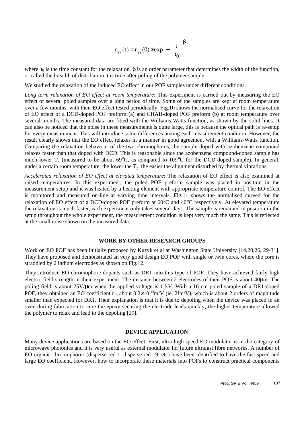$$
r_{33}(t) = r_{33}(0) * \exp\left[-\left(\frac{t}{\tau_0}\right)^{\beta}\right]
$$

where  $\tau_0$  is the time constant for the relaxation,  $\beta$  is an order parameter that determines the width of the function, or called the breadth of distribution, t is time after poling of the polymer sample.

We studied the relaxation of the induced EO effect in our POF samples under different conditions.

*Long term relaxation of EO effect at room temperature*: This experiment is carried out by measuring the EO effect of several poled samples over a long period of time. Some of the samples are kept at room temperature over a few months, with their EO effect tested periodically. Fig.10 shows the normalised curve for the relaxation of EO effect of a DCD-doped POF preform (a) and CHAB-doped POF preform (b) at room temperature over several months. The measured data are fitted with the Williams-Watts function, as shown by the solid lines. It can also be noticed that the noise in these measurements is quite large, this is because the optical path is re-setup for every measurement. This will introduce some differences among each measurement condition. However, the result clearly shows that the EO effect relaxes in a manner in good agreement with a Williams-Watts function. Comparing the relaxation behaviour of the two chromophores, the sample doped with azobenzene compound relaxes faster than that doped with DCD. This is reasonable since the azobenzene compound-doped sample has much lower  $T_g$  (measured to be about 69 $^{\circ}$ C, as compared to 109 $^{\circ}$ C for the DCD-doped sample). In general, under a certain room temperature, the lower the  $T_g$ , the easier the alignment disturbed by thermal vibrations.

*Accelerated relaxation of EO effect at elevated temperature*: The relaxation of EO effect is also examined at raised temperatures. In this experiment, the poled POF preform sample was placed in position in the measurement setup and it was heated by a heating element with appropriate temperature control. The EO effect is monitored and measured on-line at varying time intervals. Fig.11 shows the normalised curved for the relaxation of EO effect of a DCD-doped POF preform at 60°C and 40°C respectively. At elevated temperature the relaxation is much faster, each experiment only takes several days. The sample is remained in position in the setup throughout the whole experiment, the measurement condition is kept very much the same. This is reflected at the small noise shown on the measured data.

#### **WORK BY OTHER RESEARCH GROUPS**

Work on EO POF has been initially proposed by Kuzyk et al at Washington State University [14,20,26, 29-31]. They have proposed and demonstrated an very good design EO POF with single or twin cores, where the core is straddled by 2 indium electrodes as shown on Fig.12.

They introduce EO chromophore dopants such as DR1 into this type of POF. They have achieved fairly high electric field strength in their experiment. The distance between 2 electrodes of their POF is about 40µm. The poling field is about 25V/µm when the applied voltage is 1 kV. With a 16 cm poled sample of a DR1-doped POF, they obtained an EO coefficient  $r_{13}$  about 0.2×10<sup>-14</sup>m/V (ie, 2fm/V), which is about 2 orders of magnitude smaller than expected for DR1. Their explanation is that it is due to depoling when the device was placed in an oven during fabrication to cure the epoxy securing the electrode leads quickly, the higher temperature allowed the polymer to relax and lead to the depoling [29].

#### **DEVICE APPLICATION**

Many device applications are based on the EO effect. First, ultra-high speed EO modulator is in the category of microwave photonics and it is very useful as external modulator for future ultrafast fibre networks. A number of EO organic chromophores (disperse red 1, disperse red 19, etc) have been identified to have the fast speed and large EO coefficient. However, how to incorporate these materials into POFs to construct practical components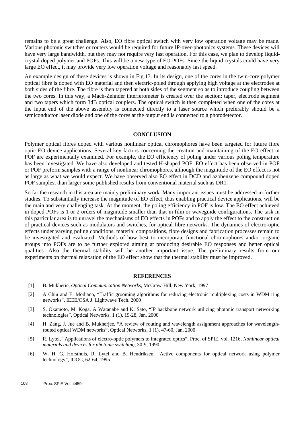remains to be a great challenge. Also, EO fibre optical switch with very low operation voltage may be made. Various photonic switches or routers would be required for future IP-over-photonics systems. These devices will have very large bandwidth, but they may not require very fast operation. For this case, we plan to develop liquidcrystal doped polymer and POFs. This will be a new type of EO POFs. Since the liquid crystals could have very large EO effect, it may provide very low operation voltage and reasonably fast speed.

An example design of these devices is shown in Fig.13. In its design, one of the cores in the twin-core polymer optical fibre is doped with EO material and then electric-poled through applying high voltage at the electrodes at both sides of the fibre. The fibre is then tapered at both sides of the segment so as to introduce coupling between the two cores. In this way, a Mach-Zehnder interferometer is created over the section: taper, electrode segment and two tapers which form 3dB optical couplers. The optical switch is then completed when one of the cores at the input end of the above assembly is connected directly to a laser source which preferably should be a semiconductor laser diode and one of the cores at the output end is connected to a photodetector.

#### **CONCLUSION**

Polymer optical fibres doped with various nonlinear optical chromophores have been targeted for future fibre optic EO device applications. Several key factors concerning the creation and maintaining of the EO effect in POF are experimentally examined. For example, the EO efficiency of poling under various poling temperature has been investigated. We have also developed and tested H-shaped POF. EO effect has been observed in POF or POF preform samples with a range of nonlinear chromophores, although the magnitude of the EO effect is not as large as what we would expect. We have observed also EO effect in DCD and azobenzene compound doped POF samples, than larger some published results from conventional material such as DR1.

So far the research in this area are mainly preliminary work. Many important issues must be addressed in further studies. To substantially increase the magnitude of EO effect, thus enabling practical device applications, will be the main and very challenging task. At the moment, the poling efficiency in POF is low. The EO effect achieved in doped POFs is 1 or 2 orders of magnitude smaller than that in film or waveguide configurations. The task in this particular area is to unravel the mechanisms of EO effects in POFs and to apply the effect to the construction of practical devices such as modulators and switches, for optical fibre networks. The dynamics of electro-optic effects under varying poling conditions, material compositions, fibre designs and fabrication processes remain to be investigated and evaluated. Methods of how best to incorporate functional chromophores and/or organic groups into POFs are to be further explored aiming at producing desirable EO responses and better optical qualities. Also the thermal stability will be another important issue. The preliminary results from our experiments on thermal relaxation of the EO effect show that the thermal stability must be improved.

#### **REFERENCES**

- [1] B. Mukherie, *Optical Communication Networks*, McGraw-Hill, New York, 1997
- [2] A Chiu and E. Modiano, "Traffic grooming algorithms for reducing electronic multiplexing costs in WDM ring networks", IEEE/OSA J. Lightwave Tech. 2000
- [3] S. Okamoto, M. Koga, A Watanabe and K. Sato, "IP backbone network utilizing photonic transport networking technologies", Optical Networks, 1 (1), 19-28, Jan. 2000
- [4] H. Zang, J. Jue and B. Mukherjee, "A review of routing and wavelength assignment approaches for wavelengthrouted optical WDM networks", Optical Networks, 1 (1), 47-60, Jan. 2000
- [5] R. Lytel, "Applications of electro-optic polymers to integrated optics", Proc. of SPIE, vol. 1216, *Nonlinear optical materials and devices for photonic switching*, 30-9, 1990
- [6] W. H. G. Horsthuis, R. Lytel and B. Hendriksen, "Active components for optical network using polymer technology", IOOC, 62-64, 1995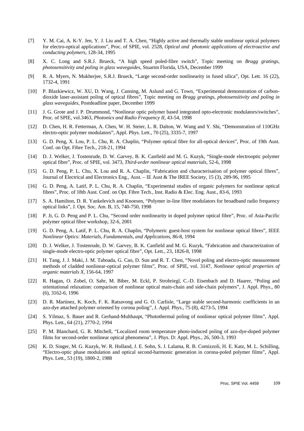- [7] Y. M. Cai, A. K-Y. Jen, Y. J. Liu and T. A. Chen, "Highly active and thermally stable nonlinear optical polymers for electro-optical applications", Proc. of SPIE, vol. 2528, *Optical and photonic applications of electroactive and conducting polymers*, 128-34, 1995
- [8] X. C. Long and S.R.J. Brueck, "A high speed poled-fibre switch", Topic meeting on *Bragg gratings, photosensitivity and poling in glass waveguides*, Stuartm Florida, USA, December 1999
- [9] R. A. Myers, N. Mukherjee, S.R.J. Brueck, "Large second-order nonlinearity in fused silica", Opt. Lett. 16 (22), 1732-4, 1991
- [10] P. Blazkiewicz, W. XU, D. Wang, J. Canning, M. Aslund and G. Town, "Experimental demonstration of carbondioxide laser-assistant poling of optical fibres", Topic meeting on *Bragg gratings, photosensitivity and poling in glass waveguides*, Postdeadline paper, December 1999
- [11] J. G. Grote and J. P. Drummond, "Nonlinear optic polymer based integrated opto-electronic modulators/switches", Proc. of SPIE, vol.3463, *Photonics and Radio Frequency II*, 43-54, 1998
- [12] D. Chen, H. R. Fetterman, A. Chen, W. H. Steier, L. R. Dalton, W. Wang and Y. Shi, "Demonstration of 110GHz electro-optic polymer modulators", Appl. Phys. Lett., 70 (25), 3335-7, 1997
- [13] G. D. Peng, X. Lou, P. L. Chu, R. A. Chaplin, "Polymer optical fibre for all-optical devices", Proc. of 19th Aust. Conf. on Opt. Fibre Tech., 218-21, 1994
- [14] D. J. Welker, J. Tostenrude, D. W. Garvey, B. K. Canfield and M. G. Kuzyk, "Single-mode electrooptic polymer optical fibre", Proc. of SPIE, vol. 3473, *Third-order nonlinear optical materials*, 52-6, 1998
- [15] G. D. Peng, P. L. Chu, X. Lou and R. A. Chaplin, "Fabrication and characterisation of polymer optical fibres", Journal of Electrical and Electronics Eng., Aust. – IE Aust & The IREE Society, 15 (3), 289-96, 1995
- [16] G. D. Peng, A. Latif, P. L. Chu, R. A. Chaplin, "Experimental studies of organic polymers for nonlinear optical fibres", Proc. of 18th Aust. Conf. on Opt. Fibre Tech., Inst. Radio & Elec. Eng. Aust., 83-6, 1993
- [17] S. A. Hamilton, D. R. Yankelevich and Knoesen, "Polymer in-line fibre modulators for broadband radio frequency optical links", J. Opt. Soc. Am. B, 15, 740-750, 1998
- [18] P. Ji, G. D. Peng and P. L. Chu, "Second order nonlinearity in doped polymer optical fibre", Proc. of Asia-Pacific polymer optical fibre workshop, 32-6, 2001
- [19] G. D. Peng, A. Latif, P. L. Chu, R. A. Chaplin, "Polymeric guest-host system for nonlinear optical fibres", IEEE *Nonlinear Optics: Materials, Fundamentals, and Applications*, 86-8, 1994
- [20] D. J. Welker, J. Tostenrude, D. W. Garvey, B. K. Canfield and M. G. Kuzyk, "Fabrication and characterization of single-mode electro-optic polymer optical fibre", Opt. Lett., 23, 1826-8, 1998
- [21] H. Tang, J. J. Maki, J. M. Taboada, G. Cao, D. Sun and R. T. Chen, "Novel poling and electro-optic measurement methods of cladded nonlinear-optical polymer films", Proc. of SPIE, vol. 3147, *Nonlinear optical properties of organic materials X*, 156-64, 1997
- [22] R. Hagan, O. Zobel, O. Sahr, M. Biber, M. Eckl, P. Strohriegl, C.-D. Eisenbach and D. Haarer, "Poling and orientational relaxation: comparison of nonlinear optical main-chain and side-chain polymers", J. Appl. Phys., 80 (6), 3162-6, 1996
- [23] D. R. Martinez, K. Koch, F. K. Ratsavong and G. O. Carlisle, "Large stable second-harmonic coefficients in an azo-dye attached polymer oriented by corona poling", J. Appl. Phys., 75 (8), 4273-5, 1994
- [24] S. Yilmaz, S. Bauer and R. Gerhand-Multhaupt, "Photothermal poling of nonlinear optical polymer films", Appl. Phys. Lett., 64 (21), 2770-2, 1994
- [25] P. M. Blanchard, G. R. Mitchell, "Localized room temperature photo-induced poling of azo-dye-doped polymer films for second-order nonlinear optical phenomena", J. Phys. D: Appl. Phys., 26, 500-3, 1993
- [26] K. D. Singer, M. G. Kuzyk, W. R. Holland, J. E. Sohn, S. J. Lalama, R. B. Comizzoli, H. E. Katz, M. L. Schilling, "Electro-optic phase modulation and optical second-harmonic generation in corona-poled polymer films", Appl. Phys. Lett., 53 (19), 1800-2, 1988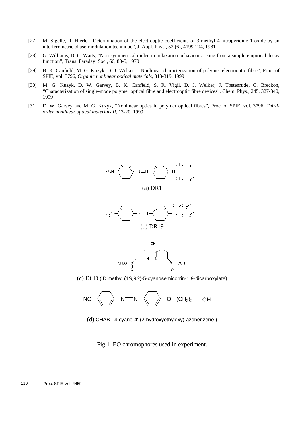- [27] M. Sigelle, R. Hierle, "Determination of the electrooptic coefficients of 3-methyl 4-nitropyridine 1-oxide by an interferometric phase-modulation technique", J. Appl. Phys., 52 (6), 4199-204, 1981
- [28] G. Williams, D. C. Watts, "Non-symmetrical dielectric relaxation behaviour arising from a simple empirical decay function", Trans. Faraday. Soc., 66, 80-5, 1970
- [29] B. K. Canfield, M. G. Kuzyk, D. J. Welker., "Nonlinear characterization of polymer electrooptic fibre", Proc. of SPIE, vol. 3796, *Organic nonlinear optical materials*, 313-319, 1999
- [30] M. G. Kuzyk, D. W. Garvey, B. K. Canfield, S. R. Vigil, D. J. Welker, J. Tostenrude, C. Breckon, "Characterization of single-mode polymer optical fibre and electrooptic fibre devices", Chem. Phys., 245, 327-340, 1999
- [31] D. W. Garvey and M. G. Kuzyk, "Nonlinear optics in polymer optical fibres", Proc. of SPIE, vol. 3796, *Thirdorder nonlinear optical materials II*, 13-20, 1999







(c) DCD ( Dimethyl (1S,9S)-5-cyanosemicorrin-1,9-dicarboxylate)



(d) CHAB ( 4-cyano-4'-(2-hydroxyethyloxy)-azobenzene )

Fig.1 EO chromophores used in experiment.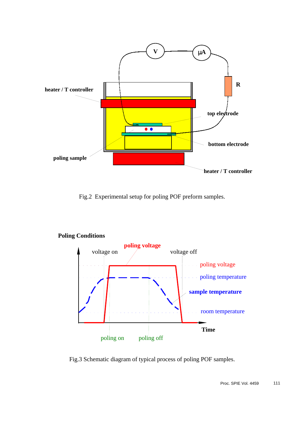

Fig.2 Experimental setup for poling POF preform samples.



### **Poling Conditions**

Fig.3 Schematic diagram of typical process of poling POF samples.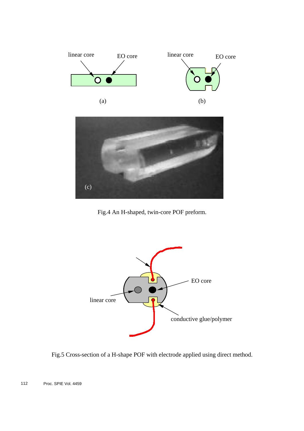



Fig.4 An H-shaped, twin-core POF preform.



Fig.5 Cross-section of a H-shape POF with electrode applied using direct method.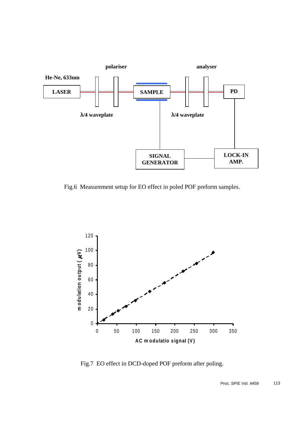

Fig.6 Measurement setup for EO effect in poled POF preform samples.



Fig.7 EO effect in DCD-doped POF preform after poling.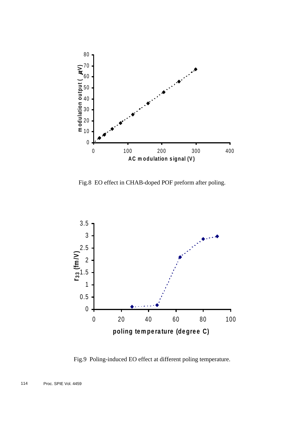

Fig.8 EO effect in CHAB-doped POF preform after poling.



Fig.9 Poling-induced EO effect at different poling temperature.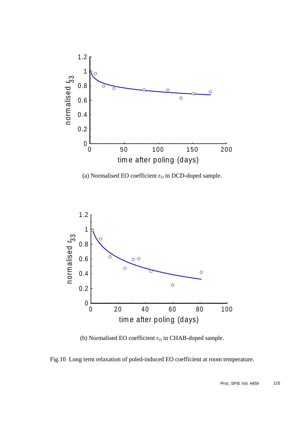

(a) Normalised EO coefficient  $r_{33}$  in DCD-doped sample.



(b) Normalised EO coefficient  $r_{33}$  in CHAB-doped sample.

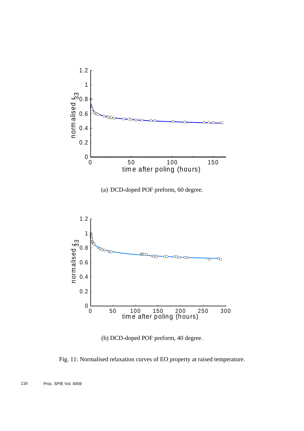

(b) DCD-doped POF preform, 40 degree.

Fig. 11: Normalised relaxation curves of EO property at raised temperature.